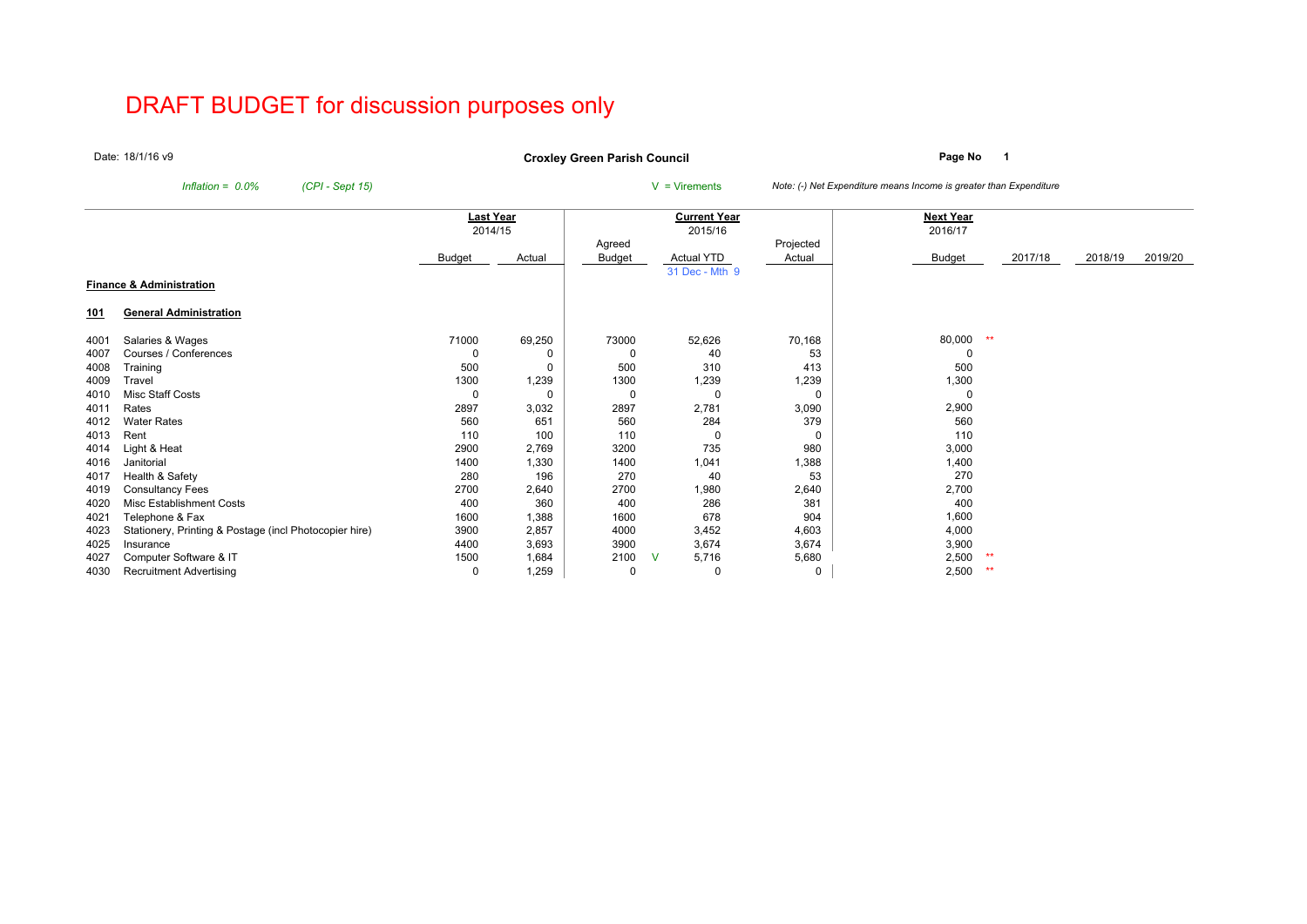# DRAFT BUDGET for discussion purposes only

Date:18/1/16 v9

**Page No <sup>1</sup> Croxley Green Parish Council**

*Inflation = 0.0% (CPI - Sept 15)* <sup>V</sup> = Virements *Note: (-) Net Expenditure means Income is greater than Expenditure*

|            |                                                        |               | Last Year |          | <b>Current Year</b> |           | Next Year |         |         |         |
|------------|--------------------------------------------------------|---------------|-----------|----------|---------------------|-----------|-----------|---------|---------|---------|
|            |                                                        |               | 2014/15   |          | 2015/16             |           | 2016/17   |         |         |         |
|            |                                                        |               |           | Agreed   |                     | Projected |           |         |         |         |
|            |                                                        | <b>Budget</b> | Actual    | Budget   | <b>Actual YTD</b>   | Actual    | Budget    | 2017/18 | 2018/19 | 2019/20 |
|            |                                                        |               |           |          | 31 Dec - Mth 9      |           |           |         |         |         |
|            | <b>Finance &amp; Administration</b>                    |               |           |          |                     |           |           |         |         |         |
| <u>101</u> | <b>General Administration</b>                          |               |           |          |                     |           |           |         |         |         |
| 4001       | Salaries & Wages                                       | 71000         | 69,250    | 73000    | 52,626              | 70,168    | 80,000    | **      |         |         |
| 4007       | Courses / Conferences                                  |               |           | 0        | 40                  | 53        |           |         |         |         |
| 4008       | Training                                               | 500           | 0         | 500      | 310                 | 413       | 500       |         |         |         |
| 4009       | Travel                                                 | 1300          | 1,239     | 1300     | 1,239               | 1,239     | 1,300     |         |         |         |
| 4010       | Misc Staff Costs                                       | 0             | 0         | $\Omega$ |                     | $\Omega$  |           |         |         |         |
| 4011       | Rates                                                  | 2897          | 3,032     | 2897     | 2,781               | 3,090     | 2,900     |         |         |         |
| 4012       | <b>Water Rates</b>                                     | 560           | 651       | 560      | 284                 | 379       | 560       |         |         |         |
| 4013       | Rent                                                   | 110           | 100       | 110      |                     | $\Omega$  | 110       |         |         |         |
| 4014       | Light & Heat                                           | 2900          | 2,769     | 3200     | 735                 | 980       | 3,000     |         |         |         |
| 4016       | Janitorial                                             | 1400          | 1,330     | 1400     | 1,041               | 1,388     | 1,400     |         |         |         |
| 4017       | Health & Safety                                        | 280           | 196       | 270      | 40                  | 53        | 270       |         |         |         |
| 4019       | Consultancy Fees                                       | 2700          | 2,640     | 2700     | 1,980               | 2,640     | 2,700     |         |         |         |
| 4020       | <b>Misc Establishment Costs</b>                        | 400           | 360       | 400      | 286                 | 381       | 400       |         |         |         |
| 4021       | Telephone & Fax                                        | 1600          | 1,388     | 1600     | 678                 | 904       | 1,600     |         |         |         |
| 4023       | Stationery, Printing & Postage (incl Photocopier hire) | 3900          | 2,857     | 4000     | 3,452               | 4,603     | 4,000     |         |         |         |
| 4025       | Insurance                                              | 4400          | 3,693     | 3900     | 3,674               | 3,674     | 3,900     |         |         |         |
| 4027       | Computer Software & IT                                 | 1500          | 1,684     | 2100     | 5,716<br>- V        | 5,680     | 2,500     | **      |         |         |
| 4030       | <b>Recruitment Advertising</b>                         | 0             | 1,259     | 0        | 0                   | 0         | 2,500     | **      |         |         |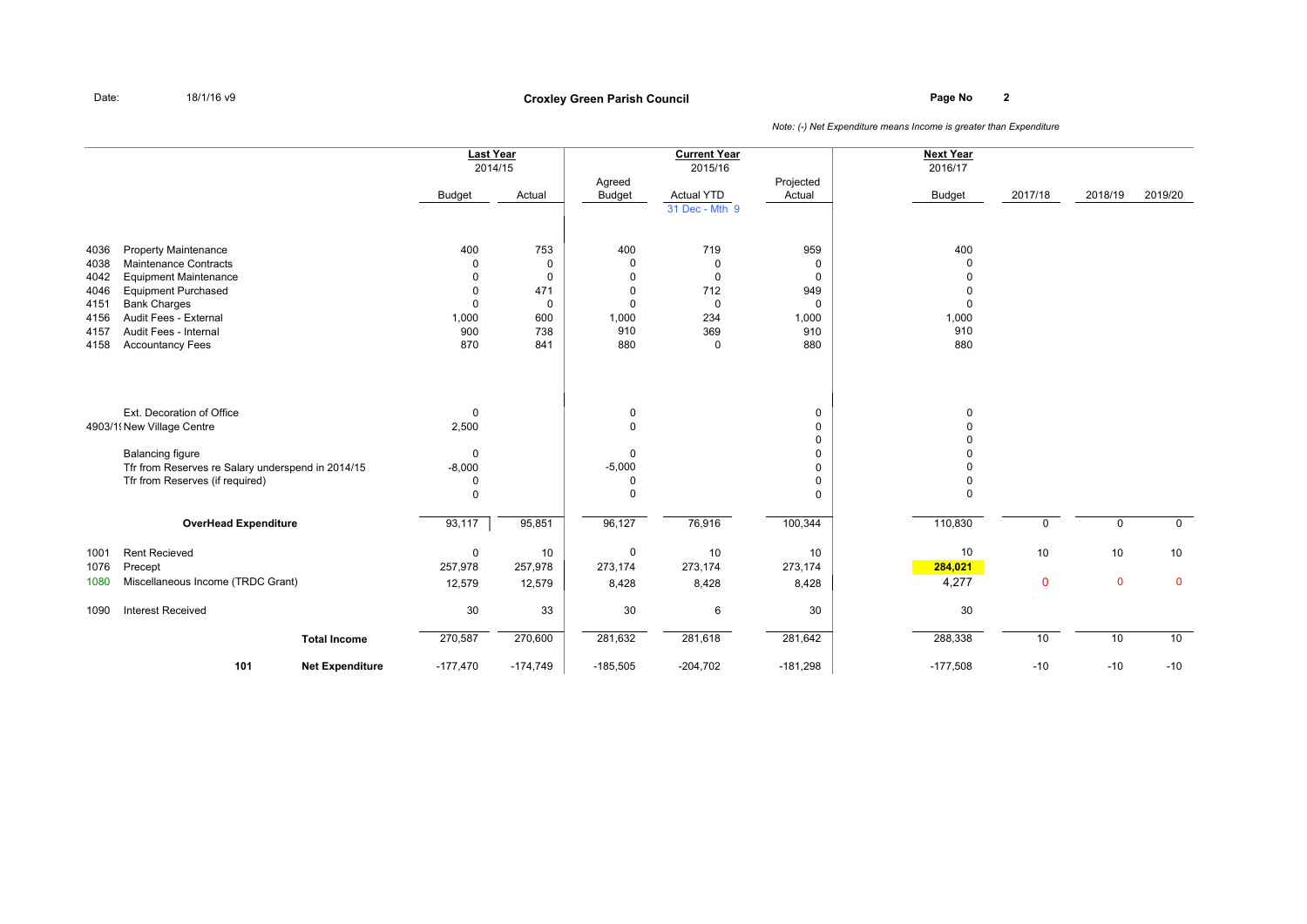# **Page No <sup>2</sup> Croxley Green Parish Council**

|                                                              |                                                                                                                                                                                                                               | <b>Last Year</b><br><b>Budget</b>                                   | 2014/15<br>Actual                                                            | Agreed<br><b>Budget</b>                                                    | <b>Current Year</b><br>2015/16<br><b>Actual YTD</b><br>31 Dec - Mth 9                | Projected<br>Actual                                        | <b>Next Year</b><br>2016/17<br><b>Budget</b> | 2017/18           | 2018/19           | 2019/20           |
|--------------------------------------------------------------|-------------------------------------------------------------------------------------------------------------------------------------------------------------------------------------------------------------------------------|---------------------------------------------------------------------|------------------------------------------------------------------------------|----------------------------------------------------------------------------|--------------------------------------------------------------------------------------|------------------------------------------------------------|----------------------------------------------|-------------------|-------------------|-------------------|
| 4036<br>4038<br>4042<br>4046<br>4151<br>4156<br>4157<br>4158 | <b>Property Maintenance</b><br><b>Maintenance Contracts</b><br><b>Equipment Maintenance</b><br><b>Equipment Purchased</b><br><b>Bank Charges</b><br>Audit Fees - External<br>Audit Fees - Internal<br><b>Accountancy Fees</b> | 400<br>0<br>$\Omega$<br>$\Omega$<br>$\Omega$<br>1,000<br>900<br>870 | 753<br>$\mathbf 0$<br>$\mathbf 0$<br>471<br>$\mathbf 0$<br>600<br>738<br>841 | 400<br>$\Omega$<br>$\Omega$<br>$\Omega$<br>$\Omega$<br>1,000<br>910<br>880 | 719<br>$\mathbf 0$<br>$\mathbf 0$<br>712<br>$\mathbf 0$<br>234<br>369<br>$\mathbf 0$ | 959<br>0<br>0<br>949<br>$\mathbf 0$<br>1,000<br>910<br>880 | 400<br>$\Omega$<br>1,000<br>910<br>880       |                   |                   |                   |
|                                                              | Ext. Decoration of Office<br>4903/1! New Village Centre<br><b>Balancing figure</b><br>Tfr from Reserves re Salary underspend in 2014/15<br>Tfr from Reserves (if required)                                                    | $\mathbf 0$<br>2,500<br>0<br>$-8,000$<br>0<br>$\mathbf 0$           |                                                                              | 0<br>$\Omega$<br>$\Omega$<br>$-5,000$<br>0<br>$\Omega$                     |                                                                                      | 0<br>0<br>0<br>0<br>0<br>0<br>0                            | $\Omega$<br>$\Omega$                         |                   |                   |                   |
|                                                              | <b>OverHead Expenditure</b>                                                                                                                                                                                                   | 93,117                                                              | 95,851                                                                       | 96,127                                                                     | 76,916                                                                               | 100,344                                                    | 110,830                                      | $\mathbf 0$       | $\mathbf 0$       | $\mathbf 0$       |
| 1001<br>1076<br>1080                                         | <b>Rent Recieved</b><br>Precept<br>Miscellaneous Income (TRDC Grant)                                                                                                                                                          | $\mathsf 0$<br>257,978<br>12,579                                    | 10<br>257,978<br>12,579                                                      | 0<br>273,174<br>8,428                                                      | 10<br>273,174<br>8,428                                                               | 10<br>273,174<br>8,428                                     | 10<br>284,021<br>4,277                       | 10<br>$\mathbf 0$ | 10<br>$\mathbf 0$ | 10<br>$\mathbf 0$ |
| 1090                                                         | <b>Interest Received</b>                                                                                                                                                                                                      | $30\,$                                                              | 33                                                                           | 30                                                                         | 6                                                                                    | 30                                                         | 30                                           |                   |                   |                   |
|                                                              | <b>Total Income</b>                                                                                                                                                                                                           | 270,587                                                             | 270,600                                                                      | 281,632                                                                    | 281,618                                                                              | 281,642                                                    | 288,338                                      | 10                | 10                | 10                |
|                                                              | 101<br><b>Net Expenditure</b>                                                                                                                                                                                                 | $-177,470$                                                          | $-174,749$                                                                   | $-185,505$                                                                 | $-204,702$                                                                           | $-181,298$                                                 | $-177,508$                                   | $-10$             | $-10$             | $-10$             |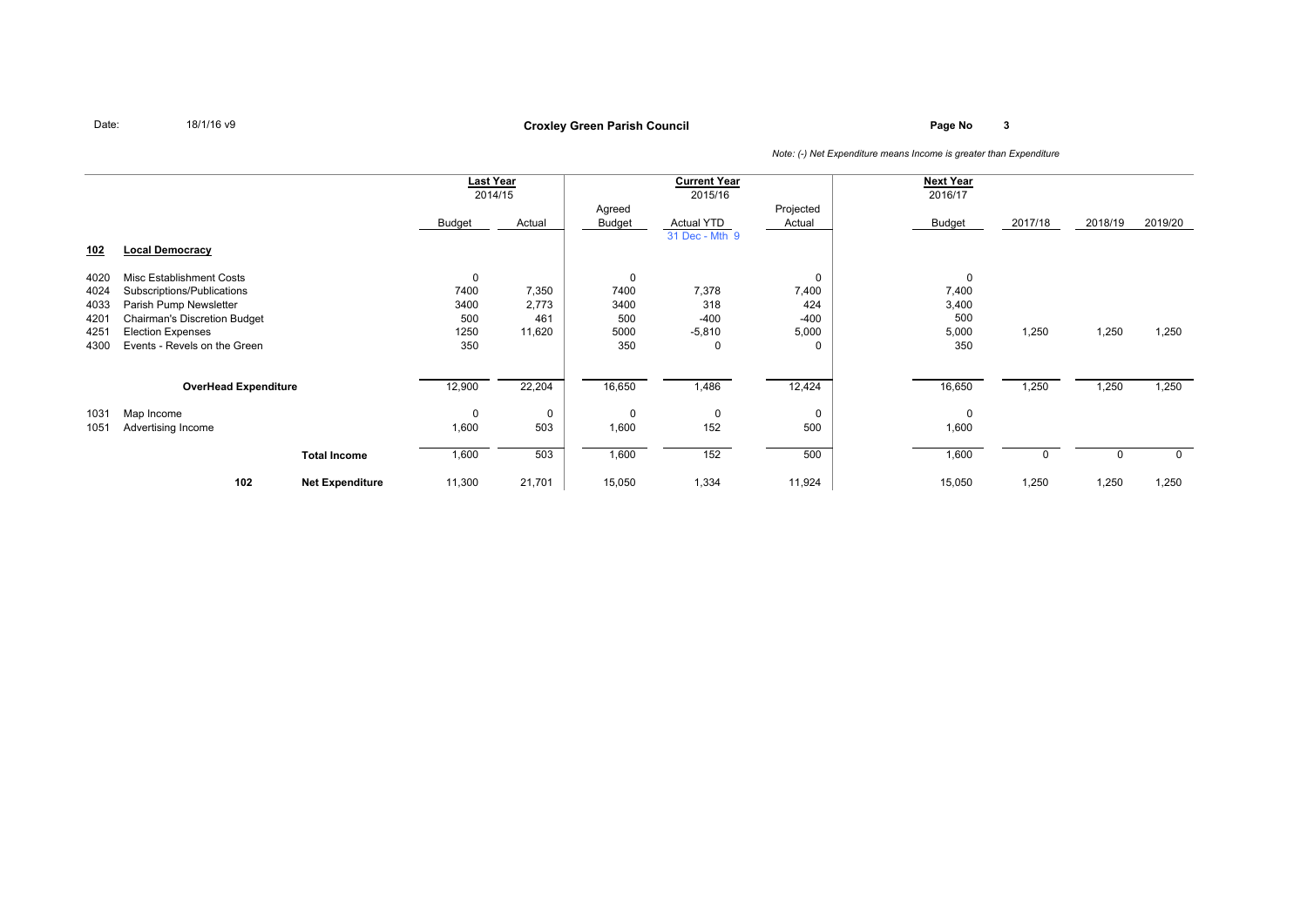### **Page No <sup>3</sup> Croxley Green Parish Council**

|            |                                     |                        | <b>Last Year</b> |         |          | <b>Current Year</b> |           | <b>Next Year</b> |         |         |         |
|------------|-------------------------------------|------------------------|------------------|---------|----------|---------------------|-----------|------------------|---------|---------|---------|
|            |                                     |                        |                  | 2014/15 |          | 2015/16             |           | 2016/17          |         |         |         |
|            |                                     |                        |                  |         | Agreed   |                     | Projected |                  |         |         |         |
|            |                                     |                        | Budget           | Actual  | Budget   | Actual YTD          | Actual    | <b>Budget</b>    | 2017/18 | 2018/19 | 2019/20 |
|            |                                     |                        |                  |         |          | 31 Dec - Mth 9      |           |                  |         |         |         |
| <u>102</u> | <b>Local Democracy</b>              |                        |                  |         |          |                     |           |                  |         |         |         |
|            |                                     |                        |                  |         |          |                     |           |                  |         |         |         |
| 4020       | Misc Establishment Costs            |                        | $\mathbf 0$      |         | 0        |                     | $\Omega$  | 0                |         |         |         |
| 4024       | Subscriptions/Publications          |                        | 7400             | 7,350   | 7400     | 7,378               | 7,400     | 7,400            |         |         |         |
| 4033       | Parish Pump Newsletter              |                        | 3400             | 2,773   | 3400     | 318                 | 424       | 3,400            |         |         |         |
| 4201       | <b>Chairman's Discretion Budget</b> |                        | 500              | 461     | 500      | $-400$              | $-400$    | 500              |         |         |         |
| 4251       | <b>Election Expenses</b>            |                        | 1250             | 11,620  | 5000     | $-5,810$            | 5,000     | 5,000            | 1,250   | 1,250   | 1,250   |
| 4300       | Events - Revels on the Green        |                        | 350              |         | 350      | 0                   | $\Omega$  | 350              |         |         |         |
|            |                                     |                        |                  |         |          |                     |           |                  |         |         |         |
|            |                                     |                        |                  |         |          |                     |           |                  |         |         |         |
|            | <b>OverHead Expenditure</b>         |                        | 12,900           | 22,204  | 16,650   | 1,486               | 12,424    | 16,650           | 1,250   | 1,250   | 1,250   |
| 1031       | Map Income                          |                        | $\mathbf 0$      | 0       | $\Omega$ | $\mathbf 0$         | $\Omega$  | 0                |         |         |         |
| 1051       | Advertising Income                  |                        | 1,600            | 503     | 1,600    | 152                 | 500       | 1,600            |         |         |         |
|            |                                     |                        |                  |         |          |                     |           |                  |         |         |         |
|            |                                     | <b>Total Income</b>    | 1,600            | 503     | 1,600    | 152                 | 500       | 1,600            |         |         |         |
|            |                                     |                        |                  |         |          |                     |           |                  |         |         |         |
|            | 102                                 | <b>Net Expenditure</b> | 11,300           | 21,701  | 15,050   | 1,334               | 11,924    | 15,050           | 1,250   | 1,250   | 1,250   |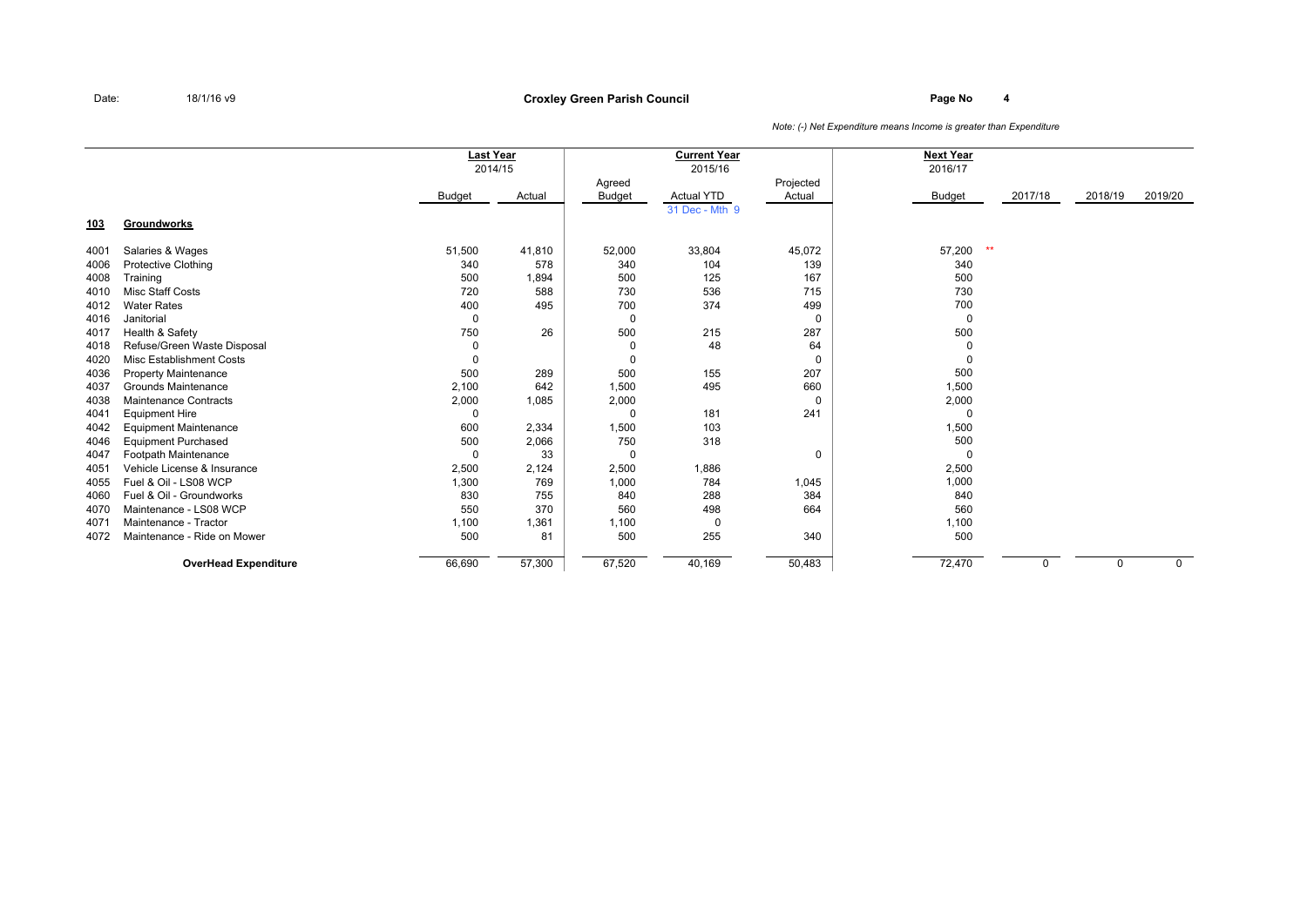|            |                                 | <b>Last Year</b> |         |               | <b>Current Year</b> |             | <b>Next Year</b> |         |             |             |
|------------|---------------------------------|------------------|---------|---------------|---------------------|-------------|------------------|---------|-------------|-------------|
|            |                                 |                  | 2014/15 |               | 2015/16             |             | 2016/17          |         |             |             |
|            |                                 |                  |         | Agreed        |                     | Projected   |                  |         |             |             |
|            |                                 | <b>Budget</b>    | Actual  | <b>Budget</b> | <b>Actual YTD</b>   | Actual      | Budget           | 2017/18 | 2018/19     | 2019/20     |
|            |                                 |                  |         |               | 31 Dec - Mth 9      |             |                  |         |             |             |
| <u>103</u> | <b>Groundworks</b>              |                  |         |               |                     |             |                  |         |             |             |
| 4001       | Salaries & Wages                | 51,500           | 41,810  | 52,000        | 33,804              | 45,072      | $**$<br>57,200   |         |             |             |
| 4006       | <b>Protective Clothing</b>      | 340              | 578     | 340           | 104                 | 139         | 340              |         |             |             |
| 4008       | Training                        | 500              | 1,894   | 500           | 125                 | 167         | 500              |         |             |             |
| 4010       | <b>Misc Staff Costs</b>         | 720              | 588     | 730           | 536                 | 715         | 730              |         |             |             |
| 4012       | <b>Water Rates</b>              | 400              | 495     | 700           | 374                 | 499         | 700              |         |             |             |
| 4016       | Janitorial                      | $\mathbf 0$      |         | 0             |                     | $\mathbf 0$ | $\mathbf 0$      |         |             |             |
| 4017       | Health & Safety                 | 750              | 26      | 500           | 215                 | 287         | 500              |         |             |             |
| 4018       | Refuse/Green Waste Disposal     | 0                |         | 0             | 48                  | 64          | 0                |         |             |             |
| 4020       | <b>Misc Establishment Costs</b> | 0                |         | 0             |                     | 0           | 0                |         |             |             |
| 4036       | <b>Property Maintenance</b>     | 500              | 289     | 500           | 155                 | 207         | 500              |         |             |             |
| 4037       | Grounds Maintenance             | 2,100            | 642     | 1,500         | 495                 | 660         | 1,500            |         |             |             |
| 4038       | <b>Maintenance Contracts</b>    | 2,000            | 1,085   | 2,000         |                     | $\mathbf 0$ | 2,000            |         |             |             |
| 4041       | <b>Equipment Hire</b>           | $\Omega$         |         | $\Omega$      | 181                 | 241         | $\Omega$         |         |             |             |
| 4042       | <b>Equipment Maintenance</b>    | 600              | 2,334   | 1,500         | 103                 |             | 1,500            |         |             |             |
| 4046       | <b>Equipment Purchased</b>      | 500              | 2,066   | 750           | 318                 |             | 500              |         |             |             |
| 4047       | Footpath Maintenance            | $\Omega$         | 33      | $\Omega$      |                     | 0           | 0                |         |             |             |
| 4051       | Vehicle License & Insurance     | 2,500            | 2,124   | 2,500         | 1,886               |             | 2,500            |         |             |             |
| 4055       | Fuel & Oil - LS08 WCP           | 1,300            | 769     | 1,000         | 784                 | 1,045       | 1,000            |         |             |             |
| 4060       | Fuel & Oil - Groundworks        | 830              | 755     | 840           | 288                 | 384         | 840              |         |             |             |
| 4070       | Maintenance - LS08 WCP          | 550              | 370     | 560           | 498                 | 664         | 560              |         |             |             |
| 4071       | Maintenance - Tractor           | 1,100            | 1,361   | 1,100         | 0                   |             | 1,100            |         |             |             |
| 4072       | Maintenance - Ride on Mower     | 500              | 81      | 500           | 255                 | 340         | 500              |         |             |             |
|            | <b>OverHead Expenditure</b>     | 66,690           | 57,300  | 67,520        | 40,169              | 50,483      | 72,470           | 0       | $\mathbf 0$ | $\mathbf 0$ |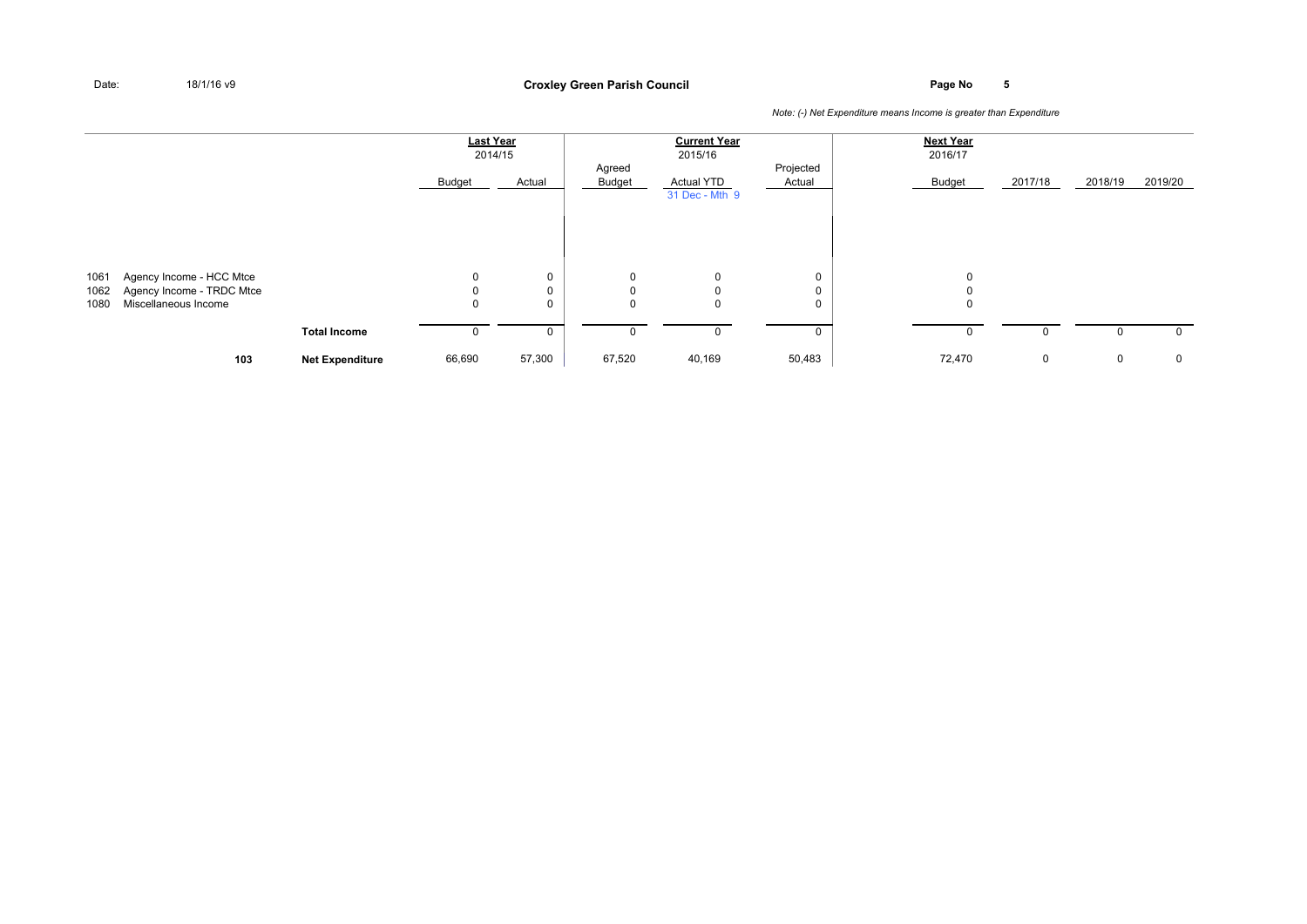### **Page No <sup>5</sup> Croxley Green Parish Council**

|                      |                                                                               |                        | <b>Last Year</b> | 2014/15     |                                 | <b>Current Year</b><br>2015/16      |                     | <b>Next Year</b><br>2016/17 |         |         |             |
|----------------------|-------------------------------------------------------------------------------|------------------------|------------------|-------------|---------------------------------|-------------------------------------|---------------------|-----------------------------|---------|---------|-------------|
|                      |                                                                               |                        | Budget           | Actual      | Agreed<br>Budget                | <b>Actual YTD</b><br>31 Dec - Mth 9 | Projected<br>Actual | Budget                      | 2017/18 | 2018/19 | 2019/20     |
|                      |                                                                               |                        |                  |             |                                 |                                     |                     |                             |         |         |             |
| 1061<br>1062<br>1080 | Agency Income - HCC Mtce<br>Agency Income - TRDC Mtce<br>Miscellaneous Income |                        | 0<br>0<br>0      | 0<br>0<br>0 | 0<br>$\mathbf 0$<br>$\mathbf 0$ | $\mathbf 0$<br>$\mathbf 0$<br>0     | 0<br>0<br>0         | 0<br>0                      |         |         |             |
|                      |                                                                               | <b>Total Income</b>    | U                | 0           | 0                               | 0                                   | 0                   |                             |         |         | $\mathbf 0$ |
|                      | 103                                                                           | <b>Net Expenditure</b> | 66,690           | 57,300      | 67,520                          | 40,169                              | 50,483              | 72,470                      | 0       | 0       | $\mathbf 0$ |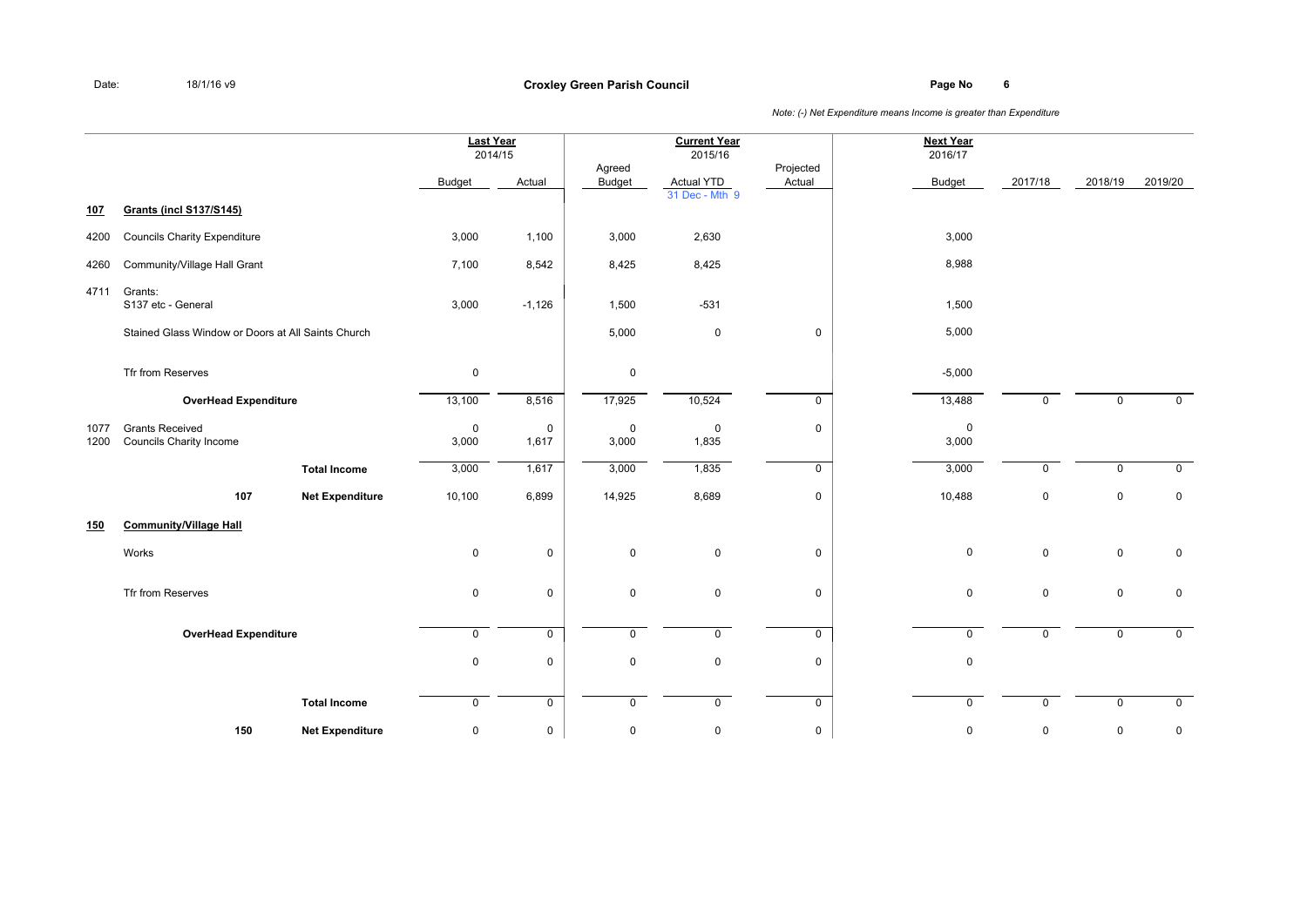**Page No <sup>6</sup> Croxley Green Parish Council**

|              |                                                          |                        |                      | <b>Last Year</b><br>2014/15 |                      | <b>Current Year</b><br>2015/16      |                     | <b>Next Year</b><br>2016/17 |             |             |                |
|--------------|----------------------------------------------------------|------------------------|----------------------|-----------------------------|----------------------|-------------------------------------|---------------------|-----------------------------|-------------|-------------|----------------|
|              |                                                          |                        | Budget               | Actual                      | Agreed<br>Budget     | <b>Actual YTD</b><br>31 Dec - Mth 9 | Projected<br>Actual | <b>Budget</b>               | 2017/18     | 2018/19     | 2019/20        |
| 107          | <b>Grants (incl S137/S145)</b>                           |                        |                      |                             |                      |                                     |                     |                             |             |             |                |
| 4200         | <b>Councils Charity Expenditure</b>                      |                        | 3,000                | 1,100                       | 3,000                | 2,630                               |                     | 3,000                       |             |             |                |
| 4260         | Community/Village Hall Grant                             |                        | 7,100                | 8,542                       | 8,425                | 8,425                               |                     | 8,988                       |             |             |                |
| 4711         | Grants:<br>S137 etc - General                            |                        | 3,000                | $-1,126$                    | 1,500                | $-531$                              |                     | 1,500                       |             |             |                |
|              | Stained Glass Window or Doors at All Saints Church       |                        |                      |                             | 5,000                | $\mathbf 0$                         | $\mathbf 0$         | 5,000                       |             |             |                |
|              | Tfr from Reserves                                        |                        | $\mathsf 0$          |                             | $\mathbf 0$          |                                     |                     | $-5,000$                    |             |             |                |
|              | <b>OverHead Expenditure</b>                              |                        | 13,100               | 8,516                       | 17,925               | 10,524                              | $\mathbf 0$         | 13,488                      | $\mathbf 0$ | $\mathbf 0$ | $\overline{0}$ |
| 1077<br>1200 | <b>Grants Received</b><br><b>Councils Charity Income</b> |                        | $\mathbf 0$<br>3,000 | 0<br>1,617                  | $\mathbf 0$<br>3,000 | 0<br>1,835                          | $\mathbf 0$         | $\mathbf 0$<br>3,000        |             |             |                |
|              |                                                          | <b>Total Income</b>    | 3,000                | 1,617                       | 3,000                | 1,835                               | $\mathbf 0$         | 3,000                       | $\Omega$    | $\mathbf 0$ | $\mathbf 0$    |
|              | 107                                                      | <b>Net Expenditure</b> | 10,100               | 6,899                       | 14,925               | 8,689                               | $\mathsf 0$         | 10,488                      | $\mathbf 0$ | $\mathbf 0$ | $\mathbf 0$    |
| <u>150</u>   | <b>Community/Village Hall</b>                            |                        |                      |                             |                      |                                     |                     |                             |             |             |                |
|              | Works                                                    |                        | $\pmb{0}$            | 0                           | $\mathsf 0$          | $\mathbf 0$                         | $\mathsf 0$         | $\mathbf 0$                 | $\mathbf 0$ | $\mathbf 0$ | $\mathbf 0$    |
|              | Tfr from Reserves                                        |                        | 0                    | 0                           | $\mathbf 0$          | $\mathbf 0$                         | $\mathbf 0$         | $\mathbf 0$                 | $\mathbf 0$ | $\mathbf 0$ | $\mathbf 0$    |
|              | <b>OverHead Expenditure</b>                              |                        | $\mathsf{O}$         | $\overline{0}$              | $\mathbf 0$          | $\mathbf 0$                         | $\overline{0}$      | $\mathbf 0$                 | $\mathbf 0$ | $\mathbf 0$ | $\mathbf 0$    |
|              |                                                          |                        | $\pmb{0}$            | $\pmb{0}$                   | $\mathsf 0$          | $\mathbf 0$                         | $\pmb{0}$           | $\mathbf 0$                 |             |             |                |
|              |                                                          | <b>Total Income</b>    | 0                    | 0                           | $\mathbf 0$          | 0                                   | $\mathbf 0$         | $\mathbf 0$                 | 0           | $\mathbf 0$ | $\mathbf 0$    |
|              | 150                                                      | <b>Net Expenditure</b> | 0                    | $\pmb{0}$                   | $\pmb{0}$            | $\pmb{0}$                           | $\mathbf 0$         | $\mathbf 0$                 | 0           | $\mathbf 0$ | 0              |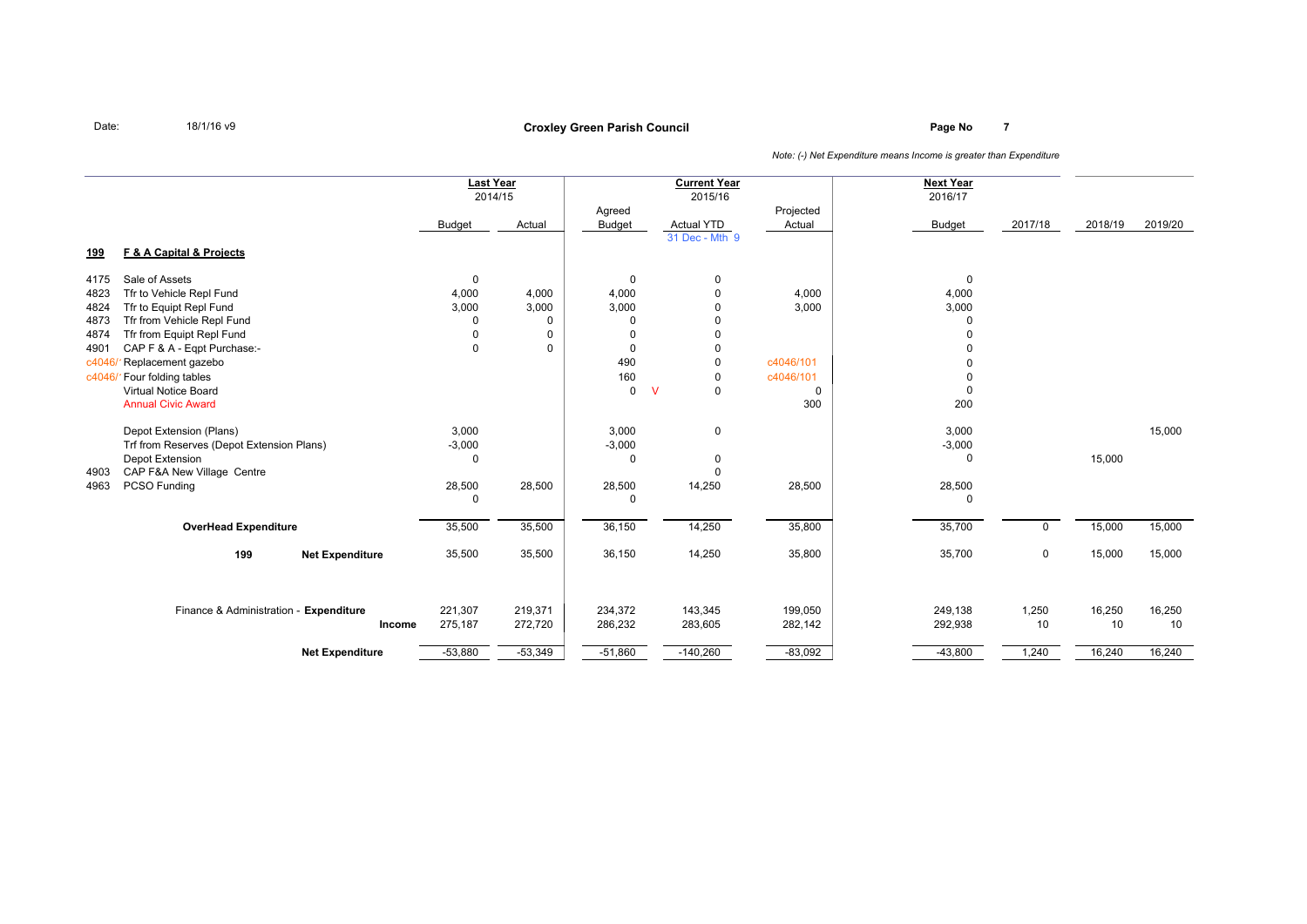# **Page No <sup>7</sup> Croxley Green Parish Council**

|            |                                           |               | <b>Last Year</b><br>2014/15 | Agreed        | <b>Current Year</b><br>2015/16 | Projected   | <b>Next Year</b><br>2016/17 |             |         |         |
|------------|-------------------------------------------|---------------|-----------------------------|---------------|--------------------------------|-------------|-----------------------------|-------------|---------|---------|
|            |                                           | <b>Budget</b> | Actual                      | <b>Budget</b> | <b>Actual YTD</b>              | Actual      | <b>Budget</b>               | 2017/18     | 2018/19 | 2019/20 |
| <u>199</u> | F & A Capital & Projects                  |               |                             |               | 31 Dec - Mth 9                 |             |                             |             |         |         |
| 4175       | Sale of Assets                            | 0             |                             | $\Omega$      | 0                              |             | $\mathbf 0$                 |             |         |         |
| 4823       | Tfr to Vehicle Repl Fund                  | 4,000         | 4,000                       | 4,000         | $\mathbf 0$                    | 4,000       | 4,000                       |             |         |         |
| 4824       | Tfr to Equipt Repl Fund                   | 3,000         | 3,000                       | 3,000         | $\Omega$                       | 3,000       | 3,000                       |             |         |         |
| 4873       | Tfr from Vehicle Repl Fund                | 0             | 0                           | $\Omega$      | $\Omega$                       |             | $\Omega$                    |             |         |         |
| 4874       | Tfr from Equipt Repl Fund                 | $\mathbf 0$   | $\mathbf 0$                 | $\Omega$      | $\mathbf 0$                    |             | 0                           |             |         |         |
| 4901       | CAP F & A - Eqpt Purchase:-               | $\mathbf 0$   | $\Omega$                    | $\Omega$      | $\mathbf 0$                    |             | 0                           |             |         |         |
| c4046      | Replacement gazebo                        |               |                             | 490           | $\mathbf 0$                    | c4046/101   |                             |             |         |         |
| c4046/     | Four folding tables                       |               |                             | 160           | $\mathbf 0$                    | c4046/101   |                             |             |         |         |
|            | <b>Virtual Notice Board</b>               |               |                             | $\mathbf 0$   | $\mathbf 0$<br>$\vee$          | $\mathbf 0$ | $\mathbf 0$                 |             |         |         |
|            | <b>Annual Civic Award</b>                 |               |                             |               |                                | 300         | 200                         |             |         |         |
|            | Depot Extension (Plans)                   | 3,000         |                             | 3,000         | $\mathbf 0$                    |             | 3,000                       |             |         | 15,000  |
|            | Trf from Reserves (Depot Extension Plans) | $-3,000$      |                             | $-3,000$      |                                |             | $-3,000$                    |             |         |         |
|            | Depot Extension                           | 0             |                             | $\Omega$      | 0                              |             | 0                           |             | 15,000  |         |
| 4903       | CAP F&A New Village Centre                |               |                             |               | $\Omega$                       |             |                             |             |         |         |
| 4963       | PCSO Funding                              | 28,500        | 28,500                      | 28,500        | 14,250                         | 28,500      | 28,500                      |             |         |         |
|            |                                           | 0             |                             |               |                                |             | 0                           |             |         |         |
|            | <b>OverHead Expenditure</b>               | 35,500        | 35,500                      | 36,150        | 14,250                         | 35,800      | 35,700                      | $\mathbf 0$ | 15,000  | 15,000  |
|            | 199<br><b>Net Expenditure</b>             | 35,500        | 35,500                      | 36,150        | 14,250                         | 35,800      | 35,700                      | 0           | 15,000  | 15,000  |
|            |                                           |               |                             |               |                                |             |                             |             |         |         |
|            | Finance & Administration - Expenditure    | 221,307       | 219,371                     | 234,372       | 143,345                        | 199,050     | 249,138                     | 1,250       | 16,250  | 16,250  |
|            | Income                                    | 275,187       | 272,720                     | 286,232       | 283,605                        | 282,142     | 292,938                     | 10          | 10      | 10      |
|            | <b>Net Expenditure</b>                    | $-53,880$     | $-53,349$                   | $-51,860$     | $-140,260$                     | $-83,092$   | $-43,800$                   | 1,240       | 16,240  | 16,240  |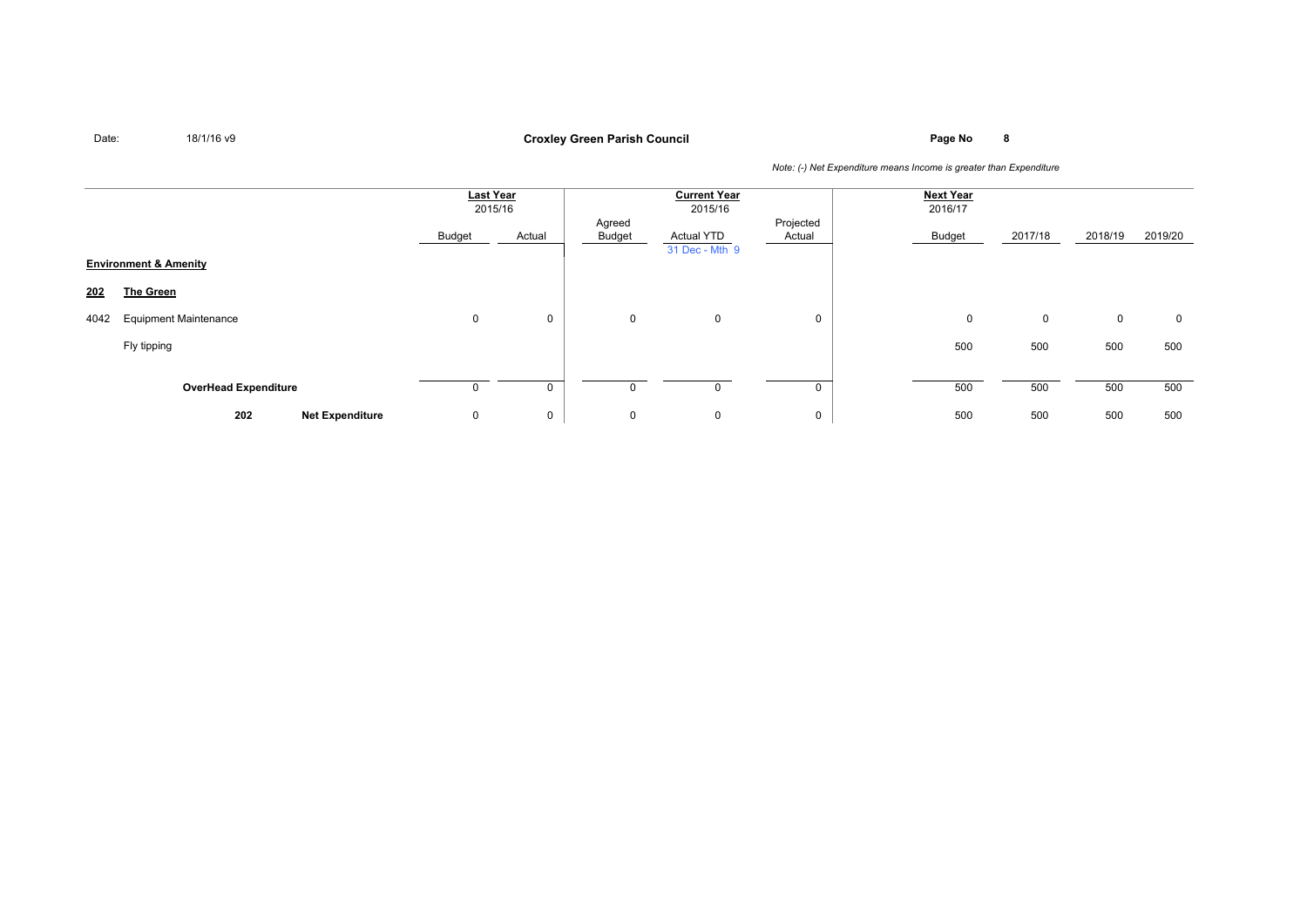# **Page No <sup>8</sup> Croxley Green Parish Council**

|      |                                  | Last Year<br>2015/16 |        |                  | <b>Current Year</b><br>2015/16      |                     | <b>Next Year</b><br>2016/17 |         |             |         |
|------|----------------------------------|----------------------|--------|------------------|-------------------------------------|---------------------|-----------------------------|---------|-------------|---------|
|      |                                  | Budget               | Actual | Agreed<br>Budget | <b>Actual YTD</b><br>31 Dec - Mth 9 | Projected<br>Actual | Budget                      | 2017/18 | 2018/19     | 2019/20 |
|      | <b>Environment &amp; Amenity</b> |                      |        |                  |                                     |                     |                             |         |             |         |
| 202  | <b>The Green</b>                 |                      |        |                  |                                     |                     |                             |         |             |         |
| 4042 | <b>Equipment Maintenance</b>     | $\mathbf 0$          | 0      | 0                | $\mathbf 0$                         | 0                   | 0                           | 0       | $\mathbf 0$ | 0       |
|      | Fly tipping                      |                      |        |                  |                                     |                     | 500                         | 500     | 500         | 500     |
|      |                                  |                      |        |                  |                                     |                     |                             |         |             |         |
|      | <b>OverHead Expenditure</b>      |                      |        |                  |                                     |                     | 500                         | 500     | 500         | 500     |
|      | 202<br><b>Net Expenditure</b>    | 0                    | 0      | 0                | $\mathbf 0$                         | $\mathbf 0$         | 500                         | 500     | 500         | 500     |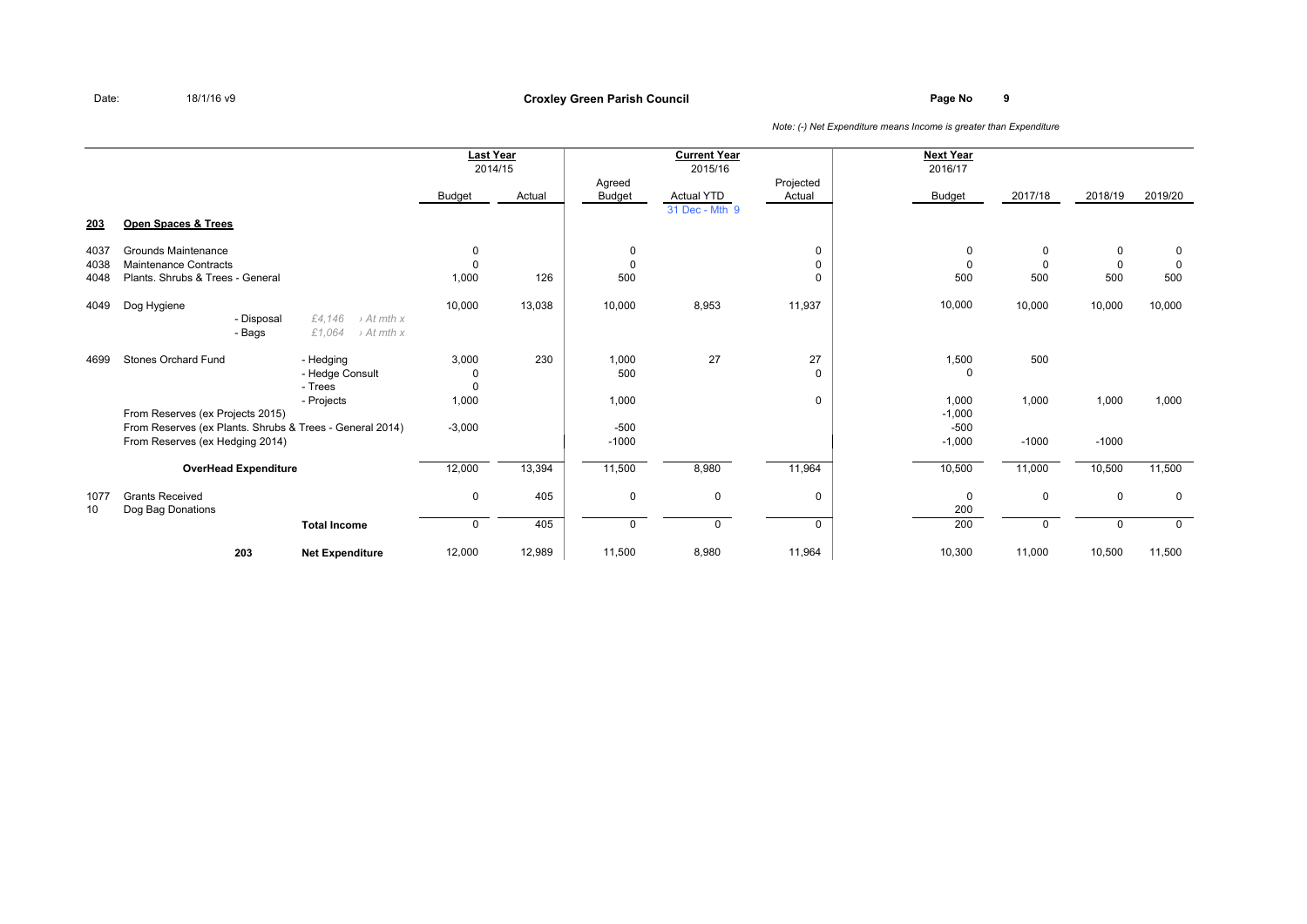### **Page No <sup>9</sup> Croxley Green Parish Council**

|      |                                                          |                                                                      | <b>Last Year</b><br>2014/15 |        | Agreed        | <b>Current Year</b><br>2015/16 | Projected | <b>Next Year</b><br>2016/17 |             |             |             |
|------|----------------------------------------------------------|----------------------------------------------------------------------|-----------------------------|--------|---------------|--------------------------------|-----------|-----------------------------|-------------|-------------|-------------|
|      |                                                          |                                                                      | <b>Budget</b>               | Actual | <b>Budget</b> | Actual YTD                     | Actual    | <b>Budget</b>               | 2017/18     | 2018/19     | 2019/20     |
|      |                                                          |                                                                      |                             |        |               | 31 Dec - Mth 9                 |           |                             |             |             |             |
| 203  | Open Spaces & Trees                                      |                                                                      |                             |        |               |                                |           |                             |             |             |             |
| 4037 | Grounds Maintenance                                      |                                                                      | 0                           |        | 0             |                                | 0         | 0                           | 0           | 0           | 0           |
| 4038 | <b>Maintenance Contracts</b>                             |                                                                      | 0                           |        | 0             |                                | 0         | $\Omega$                    | $\mathbf 0$ | 0           | $\mathbf 0$ |
| 4048 | Plants, Shrubs & Trees - General                         |                                                                      | 1,000                       | 126    | 500           |                                | 0         | 500                         | 500         | 500         | 500         |
| 4049 | Dog Hygiene                                              |                                                                      | 10,000                      | 13,038 | 10,000        | 8,953                          | 11,937    | 10,000                      | 10,000      | 10,000      | 10,000      |
|      | - Disposal<br>- Bags                                     | £4.146<br>$\rightarrow$ At mth x<br>£1,064<br>$\rightarrow$ At mth x |                             |        |               |                                |           |                             |             |             |             |
| 4699 | <b>Stones Orchard Fund</b>                               | - Hedging                                                            | 3,000                       | 230    | 1,000         | 27                             | 27        | 1,500                       | 500         |             |             |
|      |                                                          | - Hedge Consult<br>- Trees                                           | 0<br>$\Omega$               |        | 500           |                                | $\Omega$  | 0                           |             |             |             |
|      |                                                          | - Projects                                                           | 1,000                       |        | 1,000         |                                | 0         | 1,000                       | 1,000       | 1,000       | 1,000       |
|      | From Reserves (ex Projects 2015)                         |                                                                      |                             |        |               |                                |           | $-1,000$                    |             |             |             |
|      | From Reserves (ex Plants. Shrubs & Trees - General 2014) |                                                                      | $-3,000$                    |        | $-500$        |                                |           | $-500$                      |             |             |             |
|      | From Reserves (ex Hedging 2014)                          |                                                                      |                             |        | $-1000$       |                                |           | $-1,000$                    | $-1000$     | $-1000$     |             |
|      | <b>OverHead Expenditure</b>                              |                                                                      | 12,000                      | 13,394 | 11,500        | 8,980                          | 11,964    | 10,500                      | 11,000      | 10,500      | 11,500      |
| 1077 | <b>Grants Received</b>                                   |                                                                      | $\mathbf 0$                 | 405    | 0             | $\mathbf 0$                    | 0         | $\mathbf 0$                 | $\mathbf 0$ | $\mathbf 0$ | $\mathbf 0$ |
| 10   | Dog Bag Donations                                        |                                                                      |                             |        |               |                                |           | 200                         |             |             |             |
|      |                                                          | <b>Total Income</b>                                                  | $\mathbf 0$                 | 405    | 0             | $\Omega$                       | 0         | 200                         | $\Omega$    | $\mathbf 0$ | $\mathbf 0$ |
|      | 203                                                      | <b>Net Expenditure</b>                                               | 12,000                      | 12,989 | 11,500        | 8,980                          | 11,964    | 10,300                      | 11,000      | 10,500      | 11,500      |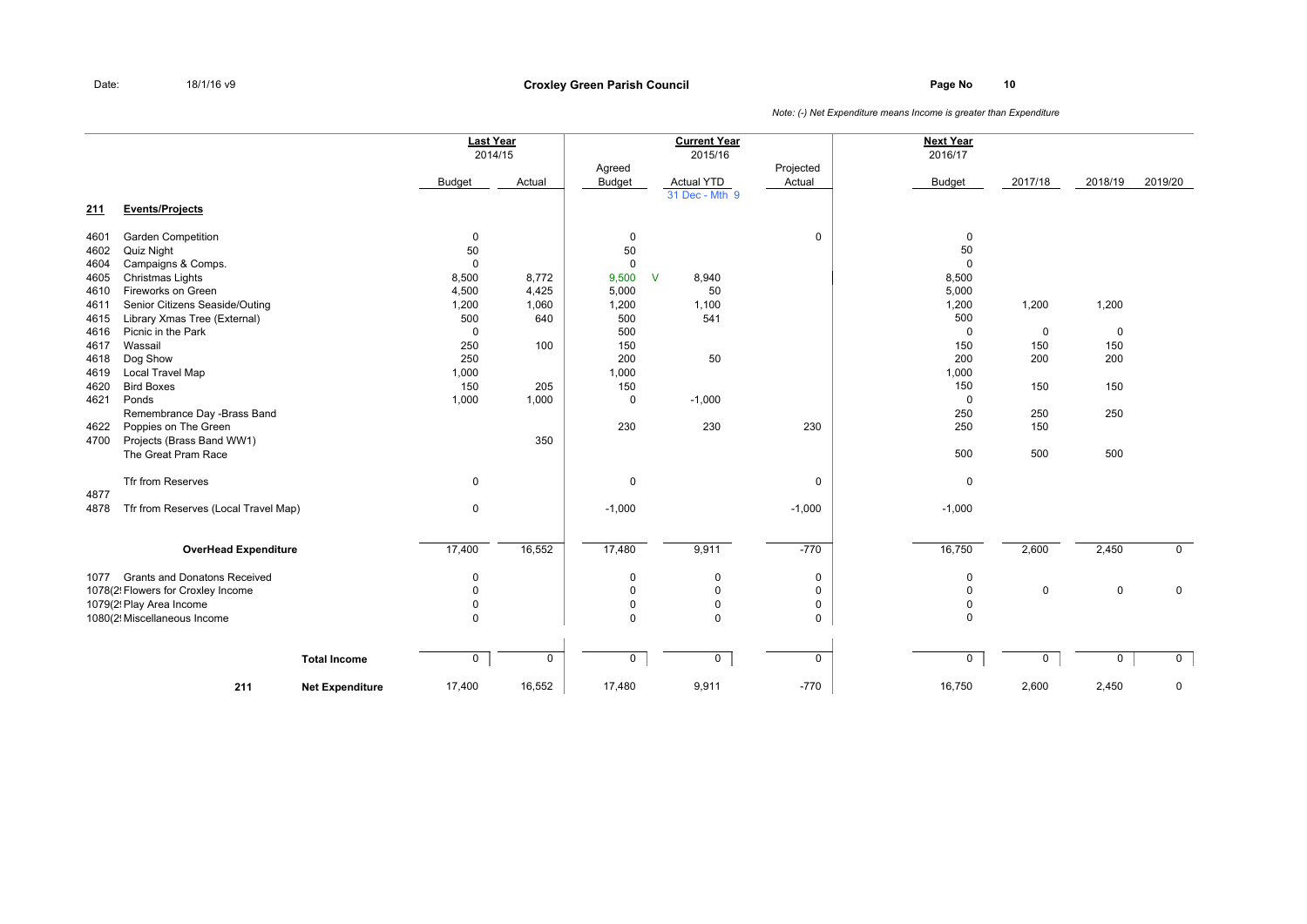### **Page No <sup>10</sup> Croxley Green Parish Council**

|            |                                      |                        |               | <b>Last Year</b><br>2014/15 |                         | <b>Current Year</b><br>2015/16 |                     | <b>Next Year</b><br>2016/17 |             |             |                |
|------------|--------------------------------------|------------------------|---------------|-----------------------------|-------------------------|--------------------------------|---------------------|-----------------------------|-------------|-------------|----------------|
|            |                                      |                        | <b>Budget</b> | Actual                      | Agreed<br><b>Budget</b> | <b>Actual YTD</b>              | Projected<br>Actual | <b>Budget</b>               | 2017/18     | 2018/19     | 2019/20        |
| <u>211</u> | <b>Events/Projects</b>               |                        |               |                             |                         | 31 Dec - Mth 9                 |                     |                             |             |             |                |
| 4601       | <b>Garden Competition</b>            |                        | $\mathbf 0$   |                             | 0                       |                                | $\mathbf 0$         | $\mathbf 0$                 |             |             |                |
| 4602       | Quiz Night                           |                        | 50            |                             | 50                      |                                |                     | 50                          |             |             |                |
| 4604       | Campaigns & Comps.                   |                        | $\mathbf 0$   |                             | $\mathbf 0$             |                                |                     | $\mathbf 0$                 |             |             |                |
| 4605       | Christmas Lights                     |                        | 8,500         | 8,772                       | 9,500                   | $\mathsf{V}$<br>8,940          |                     | 8,500                       |             |             |                |
| 4610       | Fireworks on Green                   |                        | 4,500         | 4,425                       | 5,000                   | 50                             |                     | 5,000                       |             |             |                |
| 4611       | Senior Citizens Seaside/Outing       |                        | 1,200         | 1,060                       | 1,200                   | 1,100                          |                     | 1,200                       | 1,200       | 1,200       |                |
| 4615       | Library Xmas Tree (External)         |                        | 500           | 640                         | 500                     | 541                            |                     | 500                         |             |             |                |
| 4616       | Picnic in the Park                   |                        | $\mathbf 0$   |                             | 500                     |                                |                     | $\mathbf 0$                 | $\mathbf 0$ | $\mathbf 0$ |                |
| 4617       | Wassail                              |                        | 250           | 100                         | 150                     |                                |                     | 150                         | 150         | 150         |                |
| 4618       | Dog Show                             |                        | 250           |                             | 200                     | 50                             |                     | 200                         | 200         | 200         |                |
| 4619       | Local Travel Map                     |                        | 1,000         |                             | 1,000                   |                                |                     | 1,000                       |             |             |                |
| 4620       | <b>Bird Boxes</b>                    |                        | 150           | 205                         | 150                     |                                |                     | 150                         | 150         | 150         |                |
| 4621       | Ponds                                |                        | 1,000         | 1,000                       | $\mathbf 0$             | $-1,000$                       |                     | $\mathbf 0$                 |             |             |                |
|            | Remembrance Day -Brass Band          |                        |               |                             |                         |                                |                     | 250                         | 250         | 250         |                |
| 4622       | Poppies on The Green                 |                        |               |                             | 230                     | 230                            | 230                 | 250                         | 150         |             |                |
| 4700       | Projects (Brass Band WW1)            |                        |               | 350                         |                         |                                |                     |                             |             |             |                |
|            | The Great Pram Race                  |                        |               |                             |                         |                                |                     | 500                         | 500         | 500         |                |
|            | Tfr from Reserves                    |                        | 0             |                             | $\mathbf 0$             |                                | $\mathbf 0$         | $\mathbf 0$                 |             |             |                |
| 4877       |                                      |                        |               |                             |                         |                                |                     |                             |             |             |                |
| 4878       | Tfr from Reserves (Local Travel Map) |                        | 0             |                             | $-1,000$                |                                | $-1,000$            | $-1,000$                    |             |             |                |
|            | <b>OverHead Expenditure</b>          |                        | 17,400        | 16,552                      | 17,480                  | 9,911                          | $-770$              | 16,750                      | 2,600       | 2,450       | $\mathbf 0$    |
|            |                                      |                        |               |                             |                         |                                |                     |                             |             |             |                |
| 1077       | <b>Grants and Donatons Received</b>  |                        | $\mathbf 0$   |                             | $\mathbf 0$             | $\mathbf 0$                    | $\mathbf 0$         | $\mathbf 0$                 |             |             |                |
|            | 1078(2! Flowers for Croxley Income   |                        | $\mathbf 0$   |                             | $\mathbf 0$             | $\overline{0}$                 | $\mathbf 0$         | $\mathbf 0$                 | $\mathbf 0$ | $\mathbf 0$ | $\mathbf 0$    |
|            | 1079(2! Play Area Income             |                        | $\Omega$      |                             | $\mathbf 0$             | $\mathbf 0$                    | $\mathbf 0$         | $\mathbf 0$                 |             |             |                |
|            | 1080(2! Miscellaneous Income         |                        | $\Omega$      |                             | $\Omega$                | $\Omega$                       | $\mathbf 0$         | 0                           |             |             |                |
|            |                                      | <b>Total Income</b>    | $\mathsf{O}$  | $\mathsf 0$                 | $\mathbf 0$             | $\mathbf 0$                    | $\mathbf 0$         | $\mathbf 0$                 | $\mathbf 0$ | 0           | $\overline{0}$ |
|            |                                      |                        |               |                             |                         |                                |                     |                             |             |             |                |
|            | 211                                  | <b>Net Expenditure</b> | 17,400        | 16,552                      | 17,480                  | 9,911                          | $-770$              | 16,750                      | 2,600       | 2,450       | $\mathbf 0$    |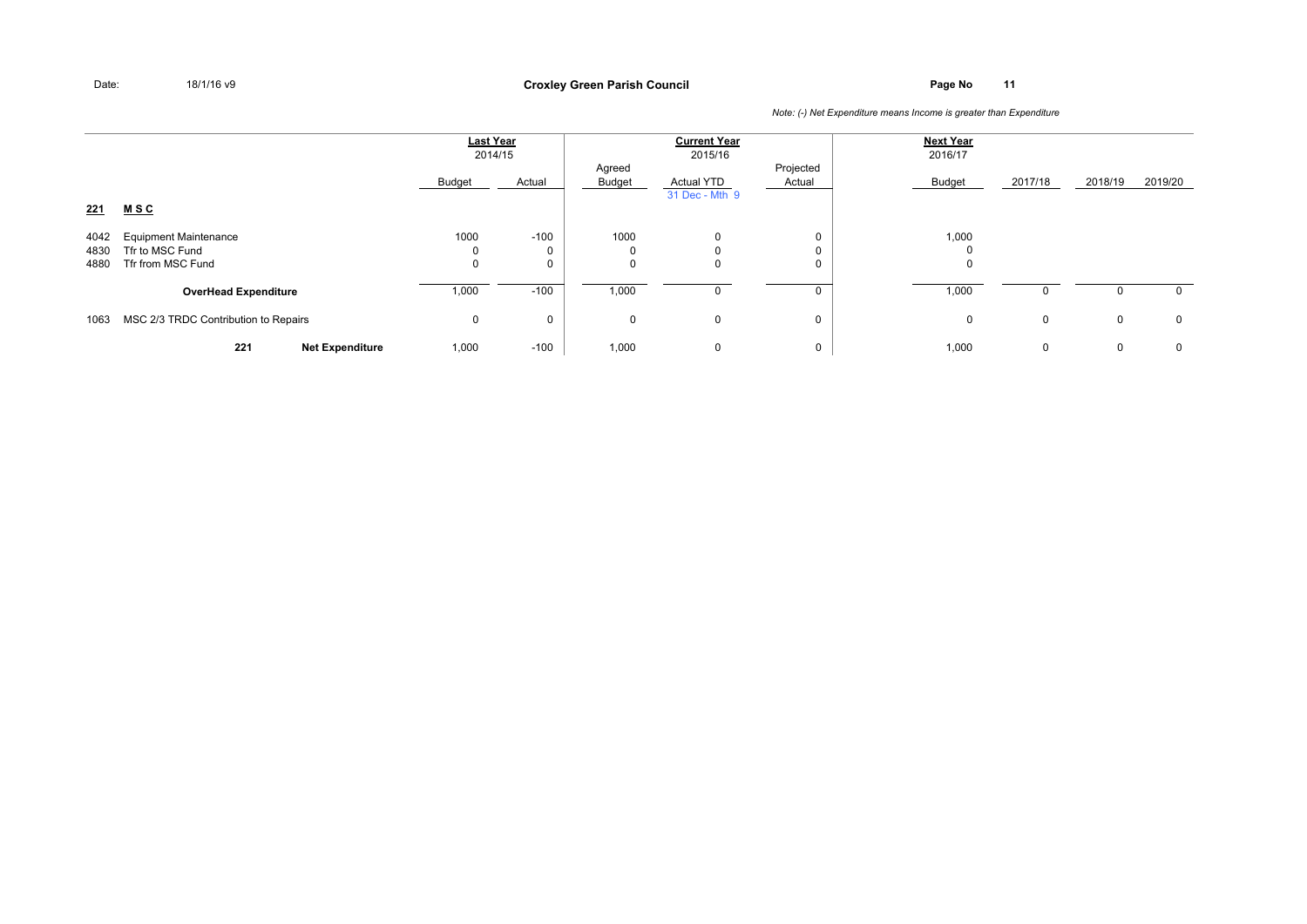**Page No <sup>11</sup> Croxley Green Parish Council**

|                      |                                                                      | <b>Last Year</b><br>2014/15 |          | <b>Current Year</b><br>2015/16 |                                     |                     | <b>Next Year</b><br>2016/17 |              |             |              |
|----------------------|----------------------------------------------------------------------|-----------------------------|----------|--------------------------------|-------------------------------------|---------------------|-----------------------------|--------------|-------------|--------------|
| 221                  | <u>MSC</u>                                                           | Budget                      | Actual   | Agreed<br>Budget               | <b>Actual YTD</b><br>31 Dec - Mth 9 | Projected<br>Actual | <b>Budget</b>               | 2017/18      | 2018/19     | 2019/20      |
| 4042<br>4830<br>4880 | <b>Equipment Maintenance</b><br>Tfr to MSC Fund<br>Tfr from MSC Fund | 1000<br>0<br>0              | $-100$   | 1000<br>0<br>0                 | $\Omega$<br>0                       | 0<br>0<br>0         | 1,000<br>$\Omega$<br>0      |              |             |              |
|                      | <b>OverHead Expenditure</b>                                          | 1,000                       | $-100$   | 1,000                          |                                     |                     | 1,000                       | <sup>0</sup> | 0           | $\mathbf{0}$ |
| 1063                 | MSC 2/3 TRDC Contribution to Repairs                                 | 0                           | $\Omega$ | 0                              | $\mathbf 0$                         | 0                   | 0                           | $\mathbf 0$  | 0           | $\mathbf 0$  |
|                      | 221<br><b>Net Expenditure</b>                                        | 1,000                       | $-100$   | 1,000                          | 0                                   | 0                   | 1,000                       | $\mathbf{0}$ | $\mathbf 0$ | $\mathbf 0$  |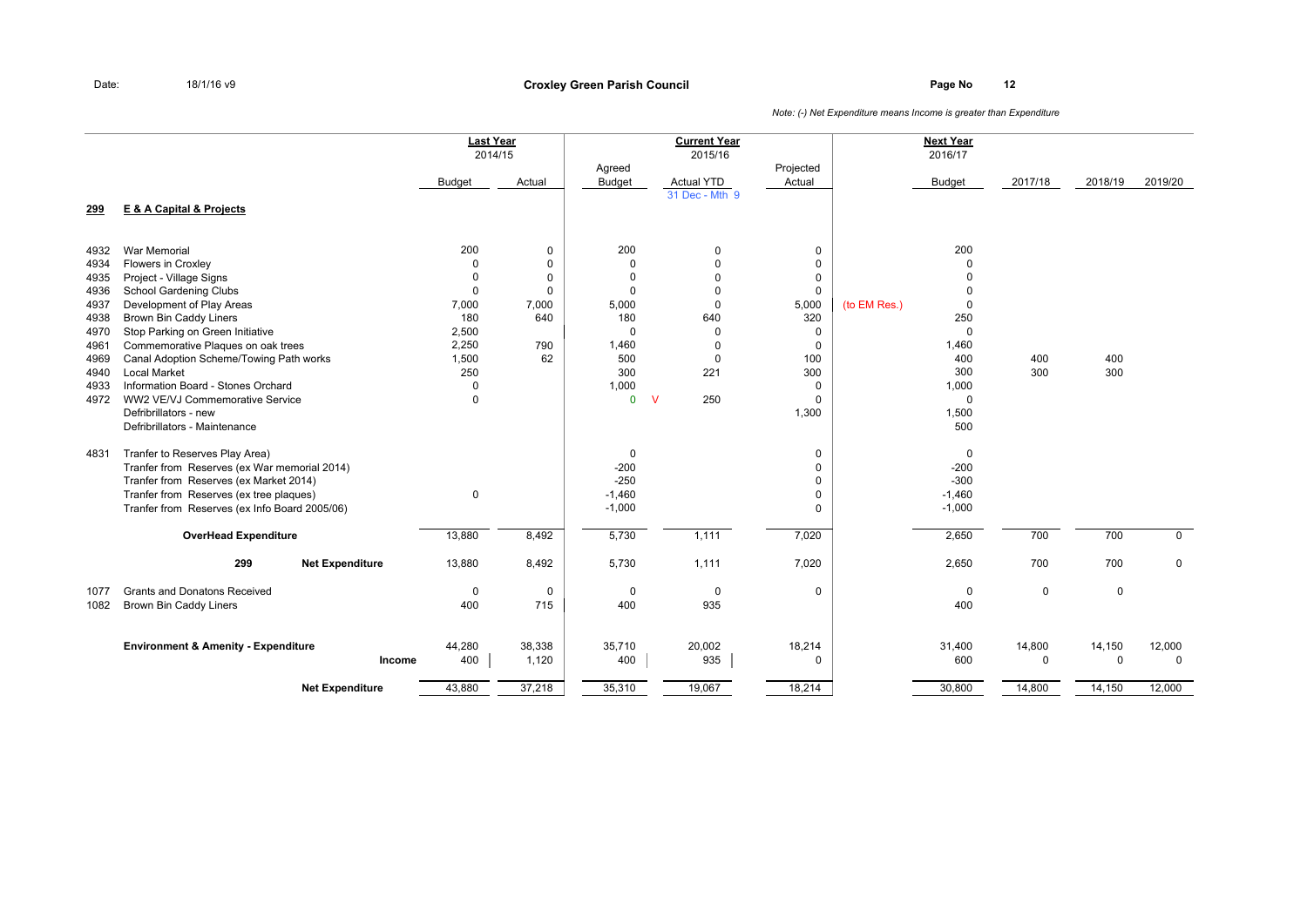### **Page No <sup>12</sup> Croxley Green Parish Council**

|              |                                                                                          | <b>Last Year</b> | 2014/15     |                         | <b>Current Year</b><br>2015/16 |                     |              | <b>Next Year</b><br>2016/17 |             |             |             |
|--------------|------------------------------------------------------------------------------------------|------------------|-------------|-------------------------|--------------------------------|---------------------|--------------|-----------------------------|-------------|-------------|-------------|
|              |                                                                                          | <b>Budget</b>    | Actual      | Agreed<br><b>Budget</b> | <b>Actual YTD</b>              | Projected<br>Actual |              | <b>Budget</b>               | 2017/18     | 2018/19     | 2019/20     |
| 299          | <b>E &amp; A Capital &amp; Projects</b>                                                  |                  |             |                         | 31 Dec - Mth 9                 |                     |              |                             |             |             |             |
| 4932         | <b>War Memorial</b>                                                                      | 200              | 0           | 200                     | $\mathbf 0$                    | $\mathbf 0$         |              | 200                         |             |             |             |
| 4934         | Flowers in Croxley                                                                       | $\Omega$         | 0           | $\mathbf 0$             | $\Omega$                       | $\mathbf 0$         |              | $\Omega$                    |             |             |             |
| 4935         | Project - Village Signs                                                                  | 0                | $\Omega$    | $\Omega$                | $\Omega$                       | 0                   |              | $\Omega$                    |             |             |             |
| 4936         | <b>School Gardening Clubs</b>                                                            | $\mathbf 0$      | 0           | $\Omega$                | $\Omega$                       | $\mathbf 0$         |              | $\Omega$                    |             |             |             |
| 4937         | Development of Play Areas                                                                | 7,000            | 7,000       | 5,000                   | $\Omega$                       | 5,000               | (to EM Res.) | $\mathbf 0$                 |             |             |             |
| 4938         | <b>Brown Bin Caddy Liners</b>                                                            | 180              | 640         | 180                     | 640                            | 320                 |              | 250                         |             |             |             |
| 4970         | Stop Parking on Green Initiative                                                         | 2,500<br>2,250   | 790         | $\Omega$<br>1,460       | $\Omega$<br>$\Omega$           | 0                   |              | 0<br>1,460                  |             |             |             |
| 4961<br>4969 | Commemorative Plaques on oak trees<br>Canal Adoption Scheme/Towing Path works            | 1,500            | 62          | 500                     | $\Omega$                       | $\mathbf 0$<br>100  |              | 400                         | 400         | 400         |             |
| 4940         | <b>Local Market</b>                                                                      | 250              |             | 300                     | 221                            | 300                 |              | 300                         | 300         | 300         |             |
| 4933         | Information Board - Stones Orchard                                                       | 0                |             | 1,000                   |                                | 0                   |              | 1,000                       |             |             |             |
| 4972         | WW2 VE/VJ Commemorative Service                                                          | $\mathbf 0$      |             | $\mathbf{0}$            | 250<br>$\mathsf{V}$            | $\Omega$            |              | $\mathbf 0$                 |             |             |             |
|              | Defribrillators - new                                                                    |                  |             |                         |                                | 1,300               |              | 1,500                       |             |             |             |
|              | Defribrillators - Maintenance                                                            |                  |             |                         |                                |                     |              | 500                         |             |             |             |
| 4831         | Tranfer to Reserves Play Area)                                                           |                  |             | 0                       |                                | 0                   |              | 0                           |             |             |             |
|              | Tranfer from Reserves (ex War memorial 2014)                                             |                  |             | $-200$                  |                                | $\mathbf 0$         |              | $-200$                      |             |             |             |
|              | Tranfer from Reserves (ex Market 2014)                                                   |                  |             | $-250$                  |                                | 0                   |              | $-300$                      |             |             |             |
|              | Tranfer from Reserves (ex tree plaques)<br>Tranfer from Reserves (ex Info Board 2005/06) | $\mathbf 0$      |             | $-1,460$<br>$-1,000$    |                                | 0<br>$\Omega$       |              | $-1,460$<br>$-1,000$        |             |             |             |
|              |                                                                                          |                  |             |                         |                                |                     |              |                             |             |             |             |
|              | <b>OverHead Expenditure</b>                                                              | 13,880           | 8,492       | 5,730                   | 1,111                          | 7,020               |              | 2,650                       | 700         | 700         | $\mathbf 0$ |
|              | 299<br><b>Net Expenditure</b>                                                            | 13,880           | 8,492       | 5,730                   | 1,111                          | 7,020               |              | 2,650                       | 700         | 700         | $\mathbf 0$ |
| 1077         | <b>Grants and Donatons Received</b>                                                      | $\mathbf 0$      | $\mathbf 0$ | $\mathbf 0$             | $\mathbf 0$                    | $\mathbf 0$         |              | $\mathbf 0$                 | $\mathbf 0$ | $\mathbf 0$ |             |
| 1082         | Brown Bin Caddy Liners                                                                   | 400              | 715         | 400                     | 935                            |                     |              | 400                         |             |             |             |
|              | <b>Environment &amp; Amenity - Expenditure</b>                                           | 44,280           | 38,338      | 35,710                  | 20,002                         | 18,214              |              | 31,400                      | 14,800      | 14,150      | 12,000      |
|              | Income                                                                                   | 400              | 1,120       | 400                     | 935                            | $\mathbf 0$         |              | 600                         | 0           | $\mathbf 0$ | $\mathbf 0$ |
|              | <b>Net Expenditure</b>                                                                   | 43,880           | 37,218      | 35,310                  | 19,067                         | 18,214              |              | 30,800                      | 14,800      | 14,150      | 12,000      |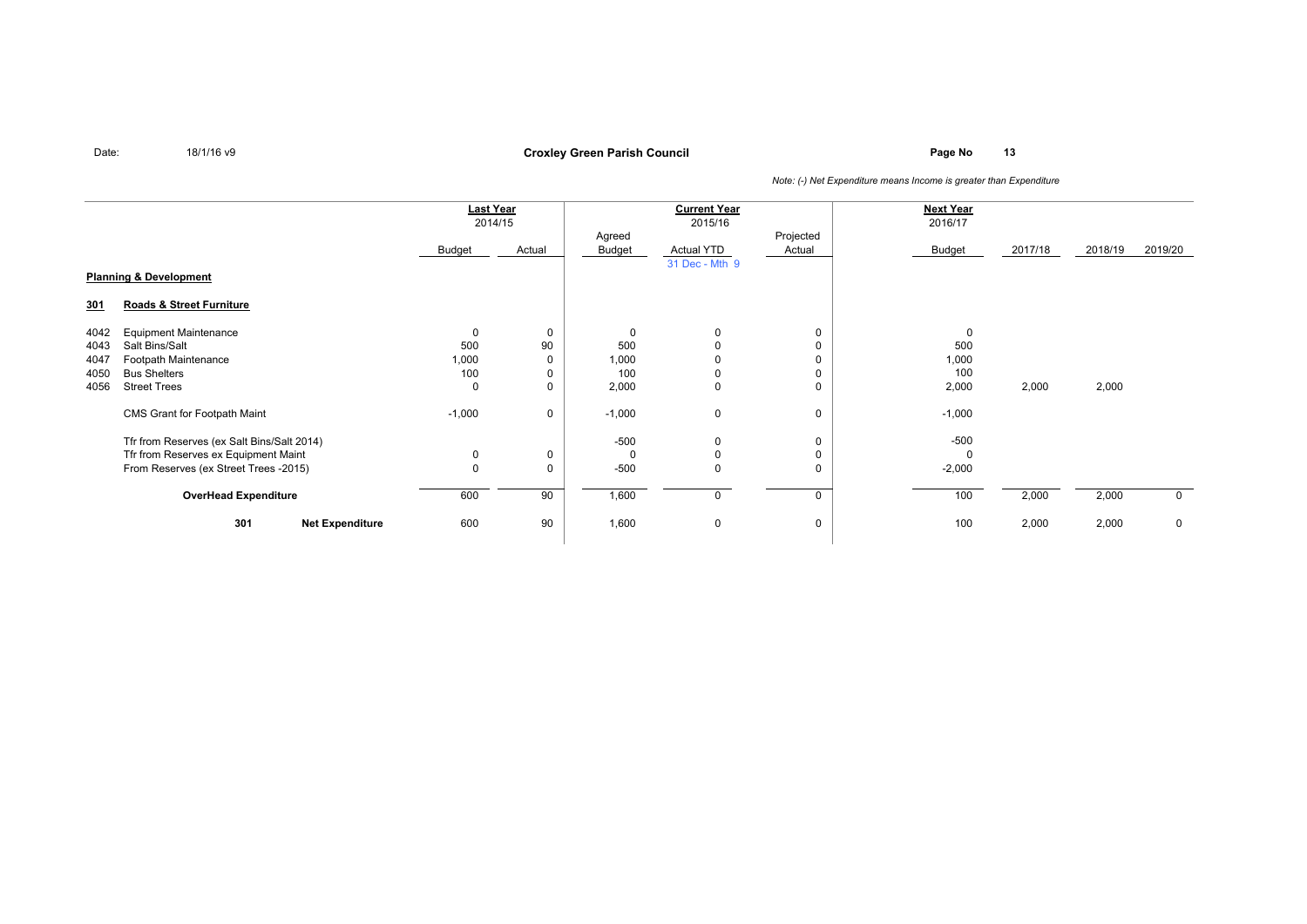**Page No <sup>13</sup> Croxley Green Parish Council**

|                                   |                                            | <b>Last Year</b><br>2014/15 |        | <b>Current Year</b><br>2015/16 |                |        | <b>Next Year</b><br>2016/17 |         |         |             |
|-----------------------------------|--------------------------------------------|-----------------------------|--------|--------------------------------|----------------|--------|-----------------------------|---------|---------|-------------|
|                                   |                                            |                             |        | Projected<br>Agreed            |                |        |                             |         |         |             |
|                                   |                                            | Budget                      | Actual | Budget                         | Actual YTD     | Actual | Budget                      | 2017/18 | 2018/19 | 2019/20     |
|                                   |                                            |                             |        |                                | 31 Dec - Mth 9 |        |                             |         |         |             |
| <b>Planning &amp; Development</b> |                                            |                             |        |                                |                |        |                             |         |         |             |
| <u>301</u>                        | Roads & Street Furniture                   |                             |        |                                |                |        |                             |         |         |             |
| 4042                              | <b>Equipment Maintenance</b>               | 0                           | 0      | 0                              | 0              | 0      | 0                           |         |         |             |
| 4043                              | Salt Bins/Salt                             | 500                         | 90     | 500                            |                |        | 500                         |         |         |             |
| 4047                              | Footpath Maintenance                       | 1,000                       |        | 1,000                          |                |        | 1,000                       |         |         |             |
| 4050                              | <b>Bus Shelters</b>                        | 100                         |        | 100                            | 0              |        | 100                         |         |         |             |
| 4056                              | <b>Street Trees</b>                        | 0                           |        | 2,000                          | 0              | 0      | 2,000                       | 2,000   | 2,000   |             |
|                                   | CMS Grant for Footpath Maint               | $-1,000$                    | 0      | $-1,000$                       | $\mathbf 0$    | 0      | $-1,000$                    |         |         |             |
|                                   | Tfr from Reserves (ex Salt Bins/Salt 2014) |                             |        | -500                           | 0              | 0      | $-500$                      |         |         |             |
|                                   | Tfr from Reserves ex Equipment Maint       | 0                           | 0      | $\Omega$                       | 0              |        |                             |         |         |             |
|                                   | From Reserves (ex Street Trees -2015)      | $\pmb{0}$                   | 0      | $-500$                         | $\mathbf 0$    | 0      | $-2,000$                    |         |         |             |
|                                   | <b>OverHead Expenditure</b>                | 600                         | 90     | 1,600                          | 0              | 0      | 100                         | 2,000   | 2,000   | $\mathbf 0$ |
|                                   | 301<br><b>Net Expenditure</b>              | 600                         | 90     | 1,600                          | $\mathbf 0$    | 0      | 100                         | 2,000   | 2,000   | $\mathbf 0$ |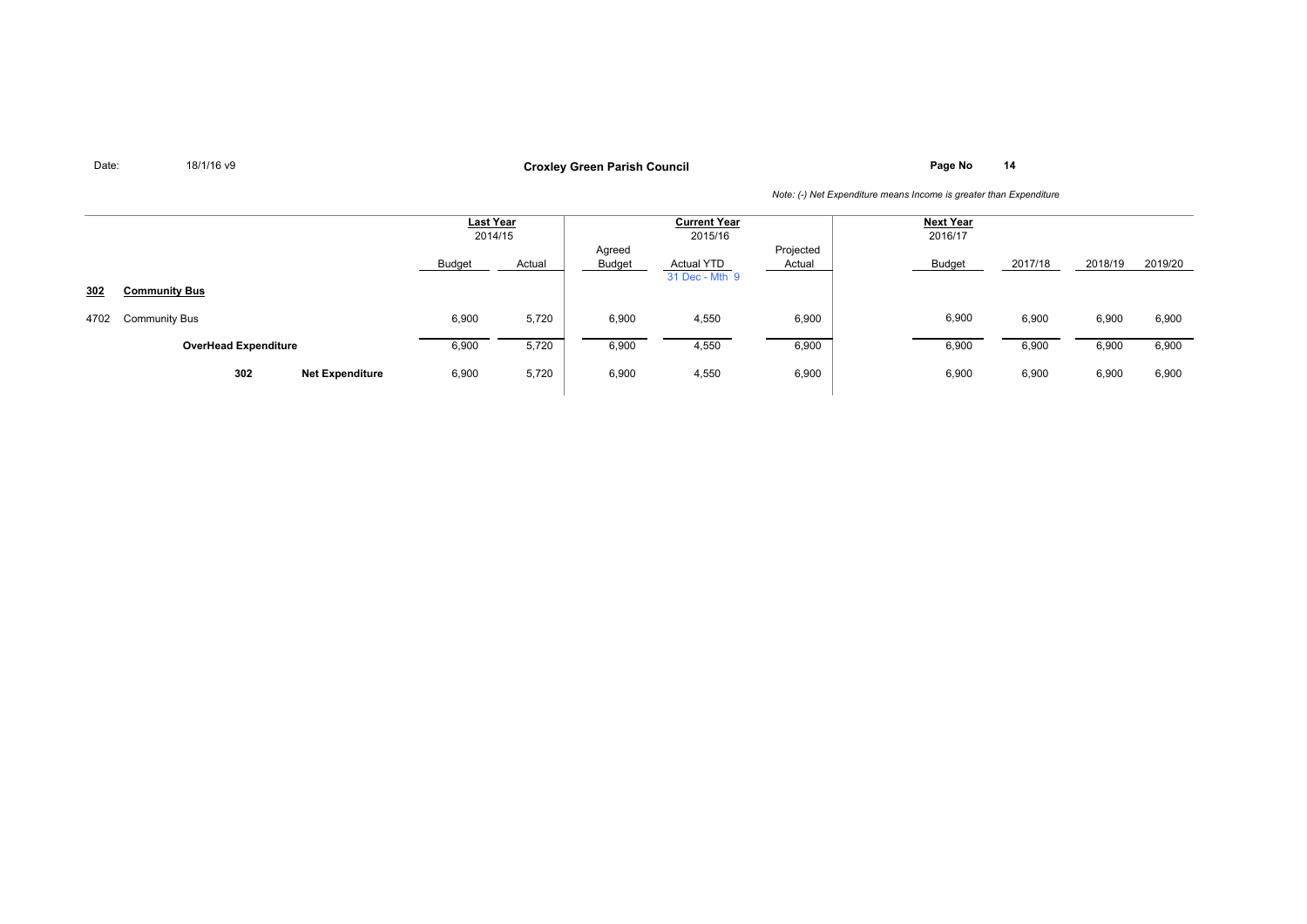**Page No <sup>14</sup> Croxley Green Parish Council**

|      |                             |                                 | <u>Last Year</u><br>2014/15 |                         | <b>Current Year</b><br>2015/16      | <b>Next Year</b><br>2016/17 |        |         |         |         |
|------|-----------------------------|---------------------------------|-----------------------------|-------------------------|-------------------------------------|-----------------------------|--------|---------|---------|---------|
|      |                             | Budget                          | Actual                      | Agreed<br><b>Budget</b> | <b>Actual YTD</b><br>31 Dec - Mth 9 | Projected<br>Actual         | Budget | 2017/18 | 2018/19 | 2019/20 |
| 302  | <b>Community Bus</b>        |                                 |                             |                         |                                     |                             |        |         |         |         |
| 4702 | <b>Community Bus</b>        | 6,900                           | 5,720                       | 6,900                   | 4,550                               | 6,900                       | 6,900  | 6,900   | 6,900   | 6,900   |
|      | <b>OverHead Expenditure</b> | 6,900                           | 5,720                       | 6,900                   | 4,550                               | 6,900                       | 6,900  | 6,900   | 6,900   | 6,900   |
|      | 302                         | 6,900<br><b>Net Expenditure</b> | 5,720                       | 6,900                   | 4,550                               | 6,900                       | 6,900  | 6,900   | 6,900   | 6,900   |